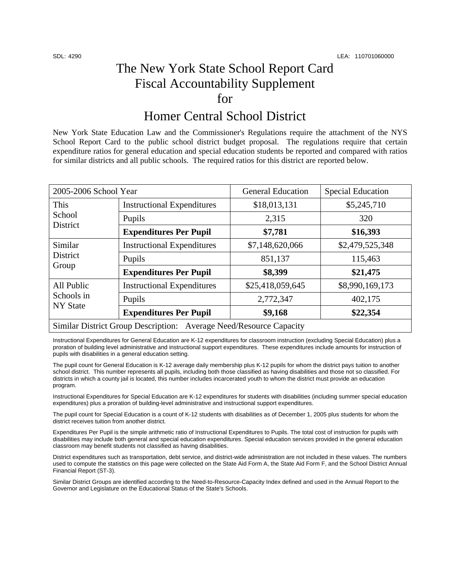## The New York State School Report Card Fiscal Accountability Supplement for

## Homer Central School District

New York State Education Law and the Commissioner's Regulations require the attachment of the NYS School Report Card to the public school district budget proposal. The regulations require that certain expenditure ratios for general education and special education students be reported and compared with ratios for similar districts and all public schools. The required ratios for this district are reported below.

| 2005-2006 School Year                                              |                                   | <b>General Education</b> | <b>Special Education</b> |  |
|--------------------------------------------------------------------|-----------------------------------|--------------------------|--------------------------|--|
| This<br>School<br>District                                         | <b>Instructional Expenditures</b> | \$18,013,131             | \$5,245,710              |  |
|                                                                    | Pupils                            | 2,315                    | 320                      |  |
|                                                                    | <b>Expenditures Per Pupil</b>     | \$7,781                  | \$16,393                 |  |
| Similar<br><b>District</b><br>Group                                | <b>Instructional Expenditures</b> | \$7,148,620,066          | \$2,479,525,348          |  |
|                                                                    | Pupils                            | 851,137                  | 115,463                  |  |
|                                                                    | <b>Expenditures Per Pupil</b>     | \$8,399                  | \$21,475                 |  |
| All Public<br>Schools in<br><b>NY</b> State                        | <b>Instructional Expenditures</b> | \$25,418,059,645         | \$8,990,169,173          |  |
|                                                                    | Pupils                            | 2,772,347                | 402,175                  |  |
|                                                                    | <b>Expenditures Per Pupil</b>     | \$9,168                  | \$22,354                 |  |
| Similar District Group Description: Average Need/Resource Capacity |                                   |                          |                          |  |

Instructional Expenditures for General Education are K-12 expenditures for classroom instruction (excluding Special Education) plus a proration of building level administrative and instructional support expenditures. These expenditures include amounts for instruction of pupils with disabilities in a general education setting.

The pupil count for General Education is K-12 average daily membership plus K-12 pupils for whom the district pays tuition to another school district. This number represents all pupils, including both those classified as having disabilities and those not so classified. For districts in which a county jail is located, this number includes incarcerated youth to whom the district must provide an education program.

Instructional Expenditures for Special Education are K-12 expenditures for students with disabilities (including summer special education expenditures) plus a proration of building-level administrative and instructional support expenditures.

The pupil count for Special Education is a count of K-12 students with disabilities as of December 1, 2005 plus students for whom the district receives tuition from another district.

Expenditures Per Pupil is the simple arithmetic ratio of Instructional Expenditures to Pupils. The total cost of instruction for pupils with disabilities may include both general and special education expenditures. Special education services provided in the general education classroom may benefit students not classified as having disabilities.

District expenditures such as transportation, debt service, and district-wide administration are not included in these values. The numbers used to compute the statistics on this page were collected on the State Aid Form A, the State Aid Form F, and the School District Annual Financial Report (ST-3).

Similar District Groups are identified according to the Need-to-Resource-Capacity Index defined and used in the Annual Report to the Governor and Legislature on the Educational Status of the State's Schools.